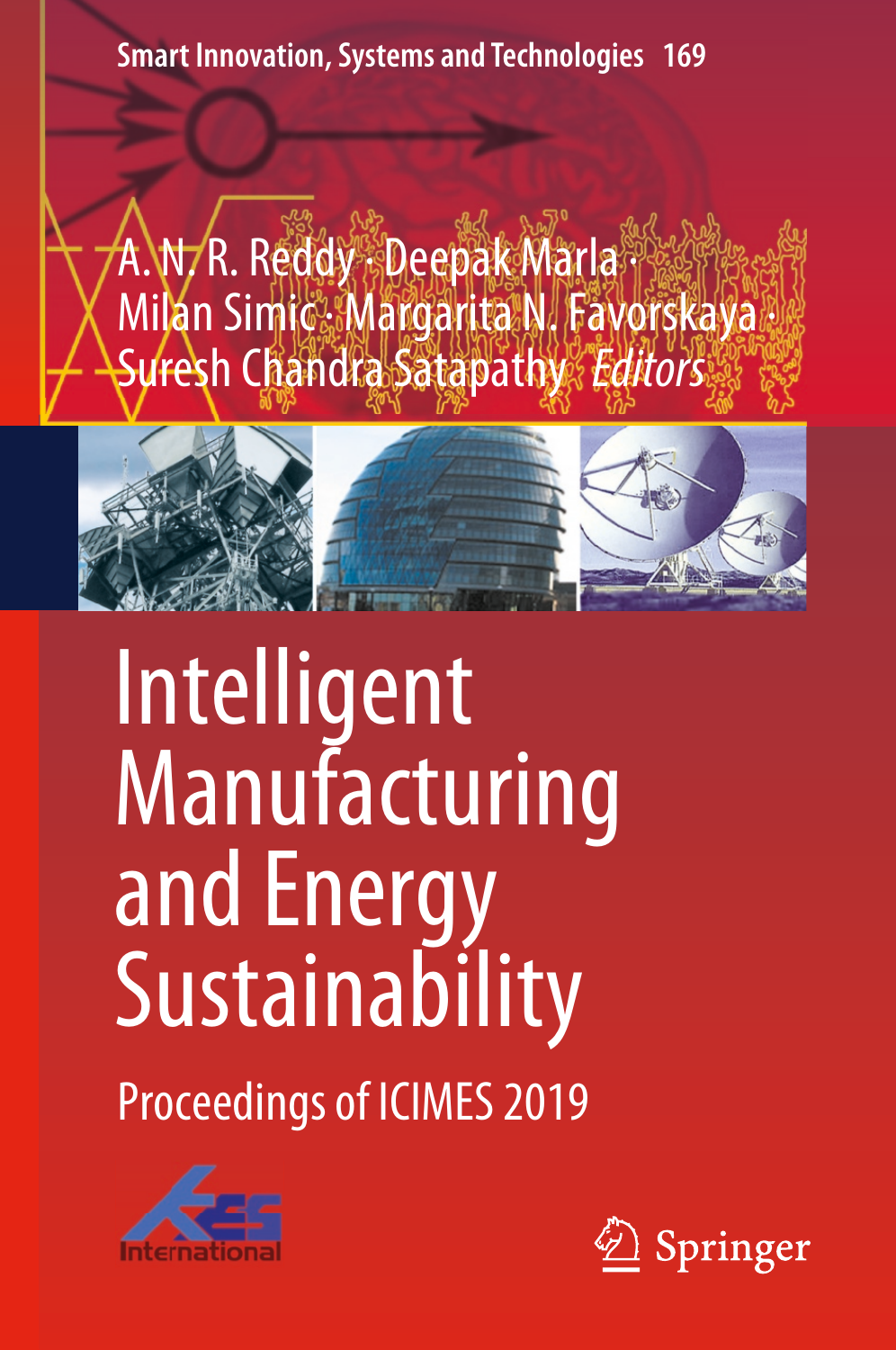**Smart Innovation, Systems and Technologies 169**

A. N. R. Reddy · Deepak Marla · Milan Simic. Margarita N. Favorskaya Suresh Chandra Satapathy *Editors* 



# Intelligent Manufacturing and Energy Sustainability

Proceedings of ICIMES 2019



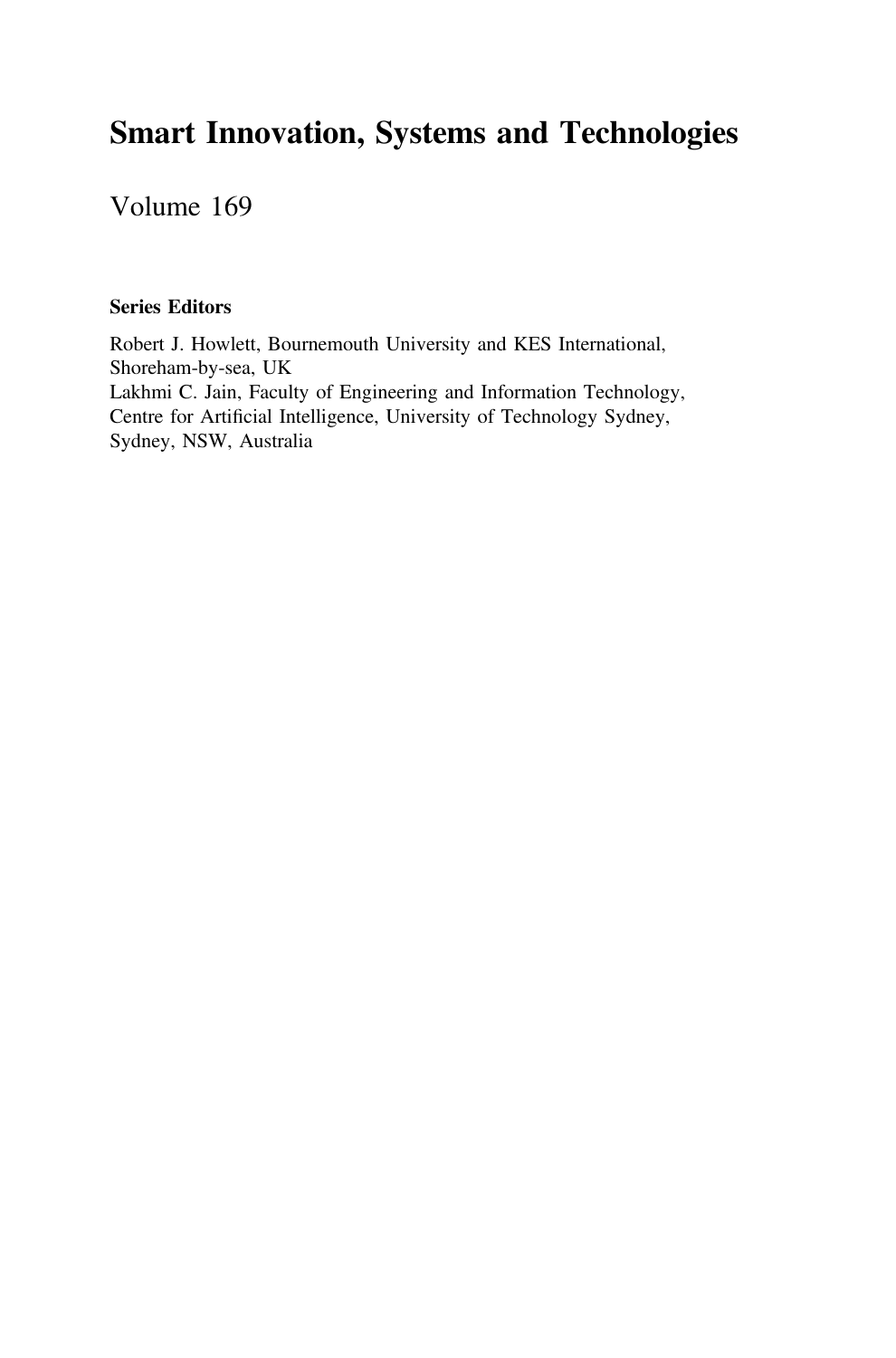## Smart Innovation, Systems and Technologies

Volume 169

### Series Editors

Robert J. Howlett, Bournemouth University and KES International, Shoreham-by-sea, UK Lakhmi C. Jain, Faculty of Engineering and Information Technology, Centre for Artificial Intelligence, University of Technology Sydney, Sydney, NSW, Australia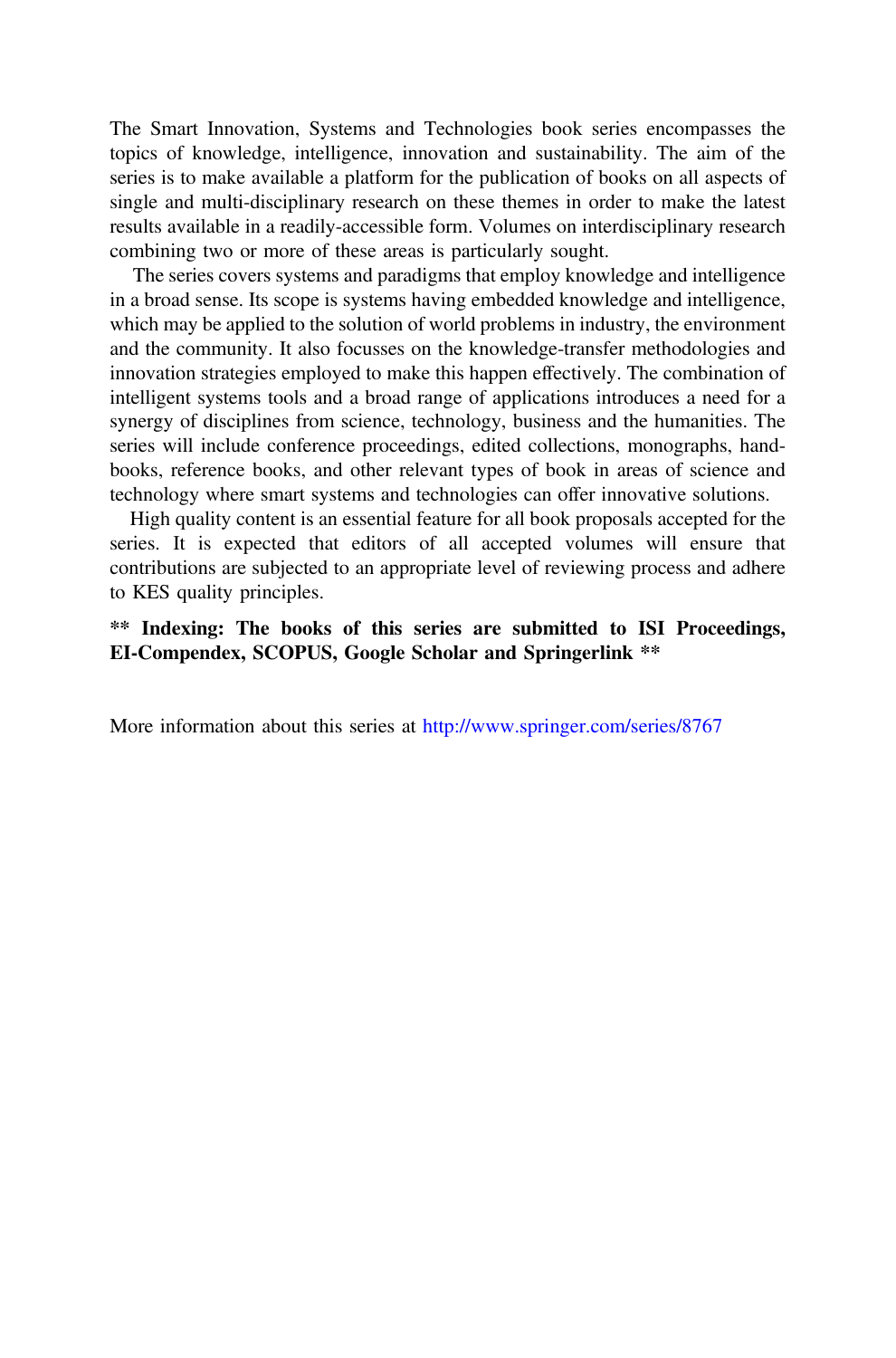The Smart Innovation, Systems and Technologies book series encompasses the topics of knowledge, intelligence, innovation and sustainability. The aim of the series is to make available a platform for the publication of books on all aspects of single and multi-disciplinary research on these themes in order to make the latest results available in a readily-accessible form. Volumes on interdisciplinary research combining two or more of these areas is particularly sought.

The series covers systems and paradigms that employ knowledge and intelligence in a broad sense. Its scope is systems having embedded knowledge and intelligence, which may be applied to the solution of world problems in industry, the environment and the community. It also focusses on the knowledge-transfer methodologies and innovation strategies employed to make this happen effectively. The combination of intelligent systems tools and a broad range of applications introduces a need for a synergy of disciplines from science, technology, business and the humanities. The series will include conference proceedings, edited collections, monographs, handbooks, reference books, and other relevant types of book in areas of science and technology where smart systems and technologies can offer innovative solutions.

High quality content is an essential feature for all book proposals accepted for the series. It is expected that editors of all accepted volumes will ensure that contributions are subjected to an appropriate level of reviewing process and adhere to KES quality principles.

\*\* Indexing: The books of this series are submitted to ISI Proceedings, EI-Compendex, SCOPUS, Google Scholar and Springerlink \*\*

More information about this series at <http://www.springer.com/series/8767>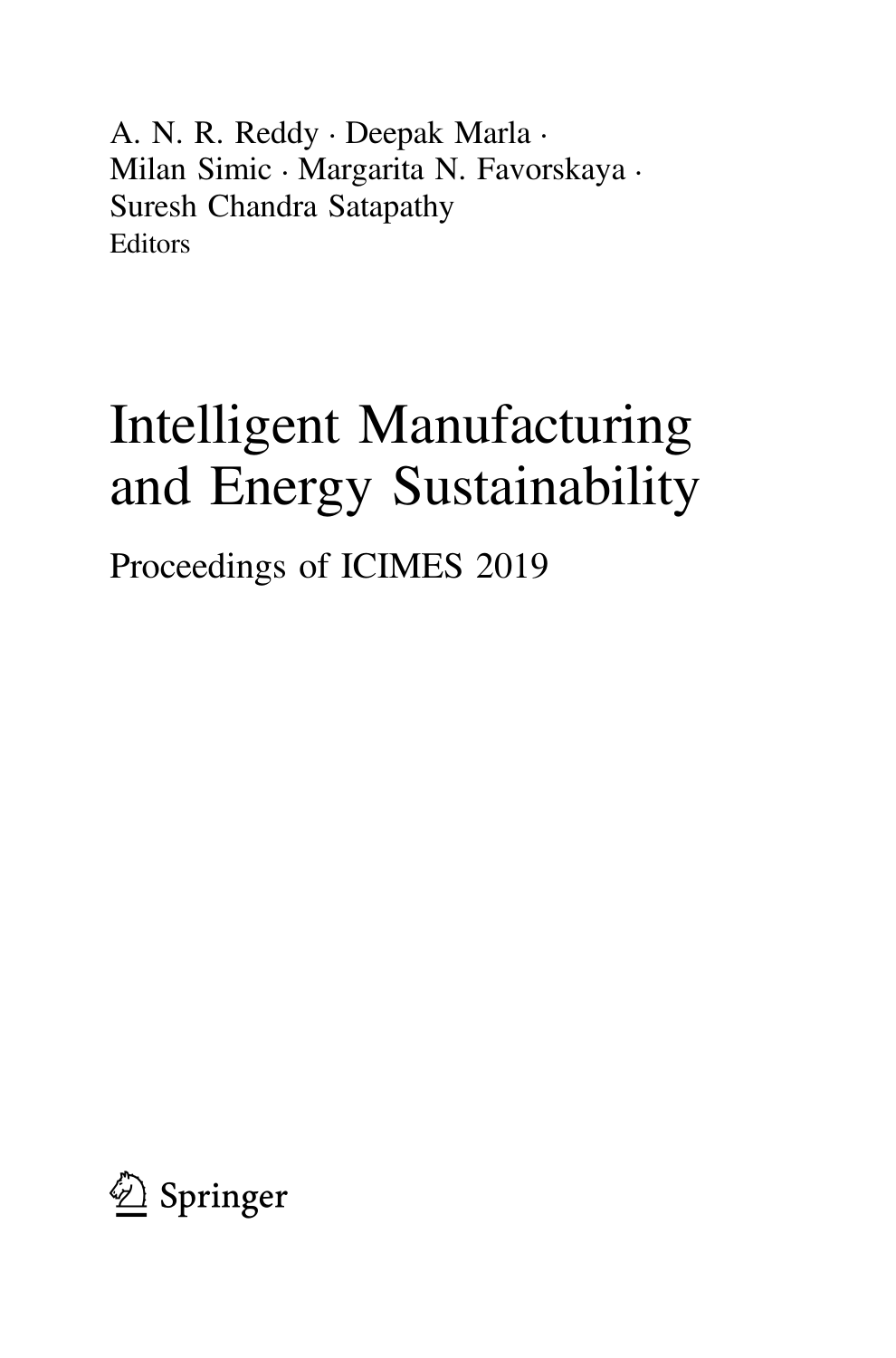A. N. R. Reddy • Deepak Marla • Milan Simic • Margarita N. Favorskaya • Suresh Chandra Satapathy Editors

# Intelligent Manufacturing and Energy Sustainability

Proceedings of ICIMES 2019

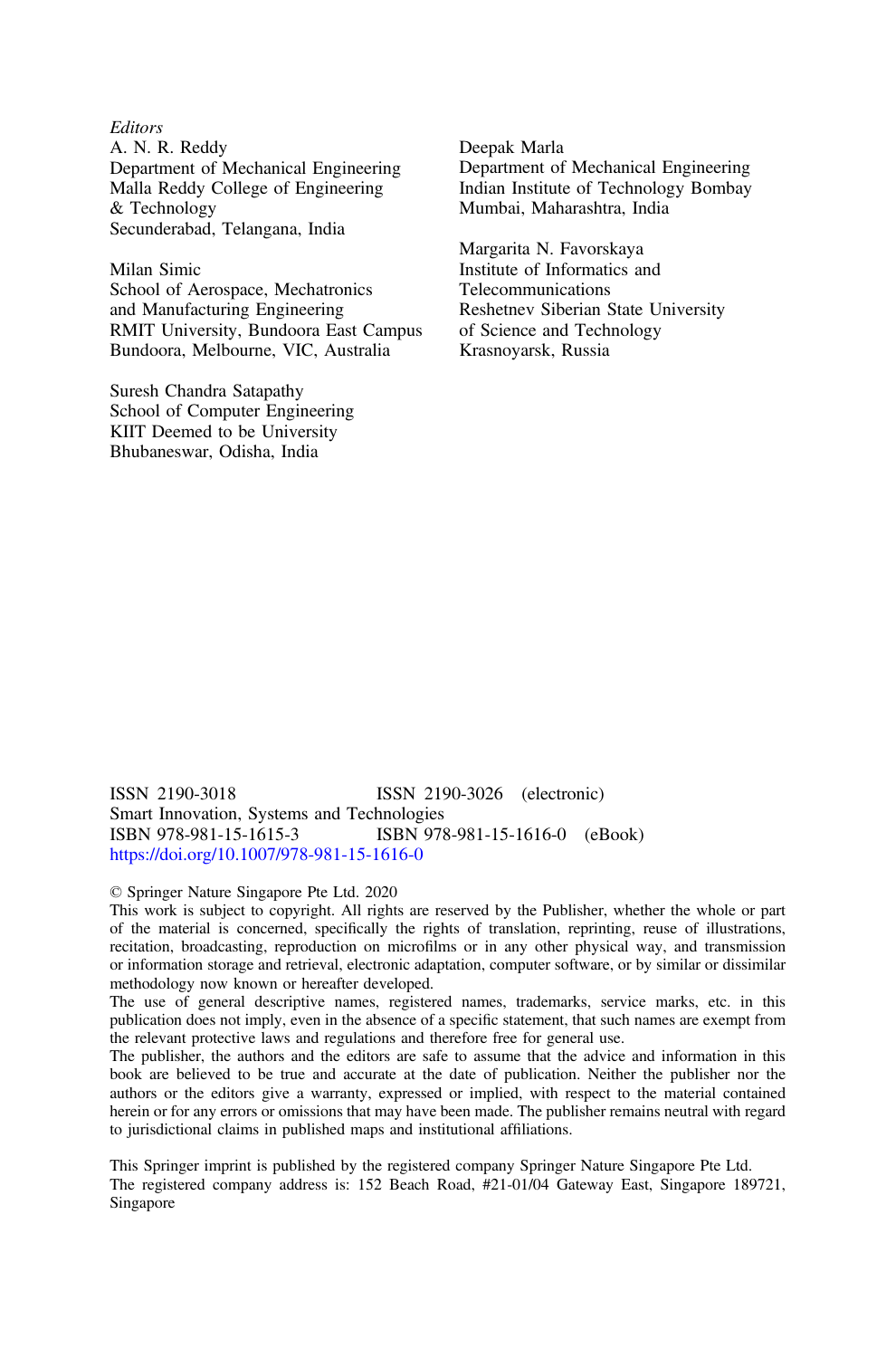**Editors** A. N. R. Reddy Department of Mechanical Engineering Malla Reddy College of Engineering & Technology Secunderabad, Telangana, India

Milan Simic School of Aerospace, Mechatronics and Manufacturing Engineering RMIT University, Bundoora East Campus Bundoora, Melbourne, VIC, Australia

Suresh Chandra Satapathy School of Computer Engineering KIIT Deemed to be University Bhubaneswar, Odisha, India

Deepak Marla Department of Mechanical Engineering Indian Institute of Technology Bombay Mumbai, Maharashtra, India

Margarita N. Favorskaya Institute of Informatics and Telecommunications Reshetnev Siberian State University of Science and Technology Krasnoyarsk, Russia

ISSN 2190-3018 ISSN 2190-3026 (electronic) Smart Innovation, Systems and Technologies<br>
ISBN 978-981-15-1615-3<br>
ISBN 978 ISBN 978-981-15-1615-3 ISBN 978-981-15-1616-0 (eBook) <https://doi.org/10.1007/978-981-15-1616-0>

#### © Springer Nature Singapore Pte Ltd. 2020

This work is subject to copyright. All rights are reserved by the Publisher, whether the whole or part of the material is concerned, specifically the rights of translation, reprinting, reuse of illustrations, recitation, broadcasting, reproduction on microfilms or in any other physical way, and transmission or information storage and retrieval, electronic adaptation, computer software, or by similar or dissimilar methodology now known or hereafter developed.

The use of general descriptive names, registered names, trademarks, service marks, etc. in this publication does not imply, even in the absence of a specific statement, that such names are exempt from the relevant protective laws and regulations and therefore free for general use.

The publisher, the authors and the editors are safe to assume that the advice and information in this book are believed to be true and accurate at the date of publication. Neither the publisher nor the authors or the editors give a warranty, expressed or implied, with respect to the material contained herein or for any errors or omissions that may have been made. The publisher remains neutral with regard to jurisdictional claims in published maps and institutional affiliations.

This Springer imprint is published by the registered company Springer Nature Singapore Pte Ltd. The registered company address is: 152 Beach Road, #21-01/04 Gateway East, Singapore 189721, Singapore